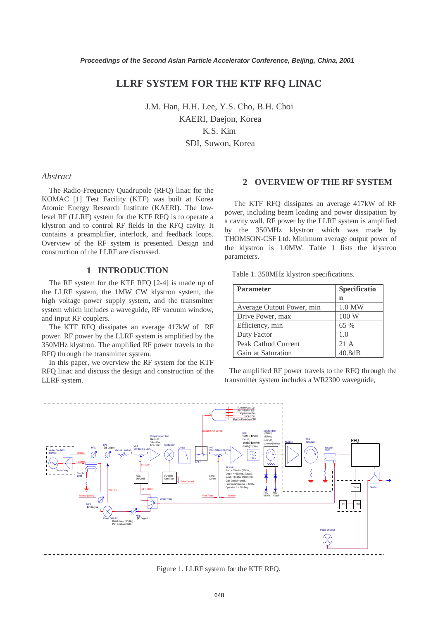# **LLRF SYSTEM FOR THE KTF RFQ LINAC**

J.M. Han, H.H. Lee, Y.S. Cho, B.H. Choi KAERI, Daejon, Korea K.S. Kim SDI, Suwon, Korea

#### *Abstract*

The Radio-Frequency Quadrupole (RFQ) linac for the KOMAC [1] Test Facility (KTF) was built at Korea Atomic Energy Research Institute (KAERI). The lowlevel RF (LLRF) system for the KTF RFQ is to operate a klystron and to control RF fields in the RFQ cavity. It contains a preamplifier, interlock, and feedback loops. Overview of the RF system is presented. Design and construction of the LLRF are discussed.

### **1 INTRODUCTION**

The RF system for the KTF RFQ [2-4] is made up of the LLRF system, the 1MW CW klystron system, the high voltage power supply system, and the transmitter system which includes a waveguide, RF vacuum window, and input RF couplers.

The KTF RFQ dissipates an average 417kW of RF power. RF power by the LLRF system is amplified by the 350MHz klystron. The amplified RF power travels to the RFQ through the transmitter system.

In this paper, we overview the RF system for the KTF RFQ linac and discuss the design and construction of the LLRF system.

# **2 OVERVIEW OF THE RF SYSTEM**

 The KTF RFQ dissipates an average 417kW of RF power, including beam loading and power dissipation by a cavity wall. RF power by the LLRF system is amplified by the 350MHz klystron which was made by THOMSON-CSF Ltd. Minimum average output power of the klystron is 1.0MW. Table 1 lists the klystron parameters.

|  |  | Table 1. 350MHz klystron specifications. |
|--|--|------------------------------------------|
|  |  |                                          |

| <b>Parameter</b>          | Specificatio |
|---------------------------|--------------|
|                           | n            |
| Average Output Power, min | $1.0$ MW     |
| Drive Power, max          | 100W         |
| Efficiency, min           | 65 %         |
| Duty Factor               | 1.0          |
| Peak Cathod Current       | 21 A         |
| Gain at Saturation        | 40.8dB       |

 The amplified RF power travels to the RFQ through the transmitter system includes a WR2300 waveguide,



Figure 1. LLRF system for the KTF RFQ.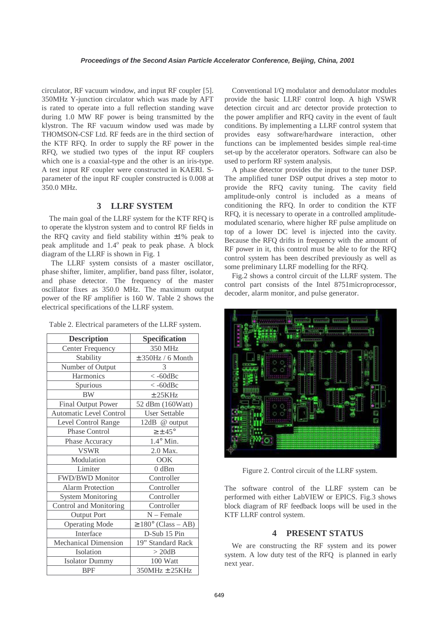circulator, RF vacuum window, and input RF coupler [5]. 350MHz Y-junction circulator which was made by AFT is rated to operate into a full reflection standing wave during 1.0 MW RF power is being transmitted by the klystron. The RF vacuum window used was made by THOMSON-CSF Ltd. RF feeds are in the third section of the KTF RFQ. In order to supply the RF power in the RFQ, we studied two types of the input RF couplers which one is a coaxial-type and the other is an iris-type. A test input RF coupler were constructed in KAERI. Sparameter of the input RF coupler constructed is 0.008 at 350.0 MHz.

# **3 LLRF SYSTEM**

The main goal of the LLRF system for the KTF RFQ is to operate the klystron system and to control RF fields in the RFQ cavity and field stability within  $\pm 1\%$  peak to peak amplitude and  $1.4^\circ$  peak to peak phase. A block diagram of the LLRF is shown in Fig. 1

 The LLRF system consists of a master oscillator, phase shifter, limiter, amplifier, band pass filter, isolator, and phase detector. The frequency of the master oscillator fixes as 350.0 MHz. The maximum output power of the RF amplifier is 160 W. Table 2 shows the electrical specifications of the LLRF system.

Table 2. Electrical parameters of the LLRF system.

| <b>Description</b>          | <b>Specification</b>            |
|-----------------------------|---------------------------------|
| <b>Center Frequency</b>     | 350 MHz                         |
| Stability                   | $± 350Hz / 6$ Month             |
| Number of Output            | 3                               |
| Harmonics                   | $\langle -60d$ Bc               |
| Spurious                    | $\langle -60d$ Bc               |
| <b>BW</b>                   | ± 25KHz                         |
| Final Output Power          | 52 dBm (160Watt)                |
| Automatic Level Control     | <b>User Settable</b>            |
| Level Control Range         | 12dB @ output                   |
| <b>Phase Control</b>        | $\geq \pm 45^{\circ}$           |
| Phase Accuracy              | $1.4^{\circ}$ Min.              |
| <b>VSWR</b>                 | 2.0 Max.                        |
| Modulation                  | <b>OOK</b>                      |
| Limiter                     | 0 dBm                           |
| FWD/BWD Monitor             | Controller                      |
| <b>Alarm Protection</b>     | Controller                      |
| <b>System Monitoring</b>    | Controller                      |
| Control and Monitoring      | Controller                      |
| <b>Output Port</b>          | $N$ – Female                    |
| <b>Operating Mode</b>       | $\geq 180^{\circ}$ (Class – AB) |
| Interface                   | D-Sub 15 Pin                    |
| <b>Mechanical Dimension</b> | 19" Standard Rack               |
| Isolation                   | $>$ 20dB                        |
| <b>Isolator Dummy</b>       | 100 Watt                        |
| <b>BPF</b>                  | 350MHz ± 25KHz                  |

Conventional I/Q modulator and demodulator modules provide the basic LLRF control loop. A high VSWR detection circuit and arc detector provide protection to the power amplifier and RFQ cavity in the event of fault conditions. By implementing a LLRF control system that provides easy software/hardware interaction, other functions can be implemented besides simple real-time set-up by the accelerator operators. Software can also be used to perform RF system analysis.

A phase detector provides the input to the tuner DSP. The amplified tuner DSP output drives a step motor to provide the RFQ cavity tuning. The cavity field amplitude-only control is included as a means of conditioning the RFQ. In order to condition the KTF RFQ, it is necessary to operate in a controlled amplitudemodulated scenario, where higher RF pulse amplitude on top of a lower DC level is injected into the cavity. Because the RFQ drifts in frequency with the amount of RF power in it, this control must be able to for the RFQ control system has been described previously as well as some preliminary LLRF modelling for the RFQ.

Fig.2 shows a control circuit of the LLRF system. The control part consists of the Intel 8751microprocessor, decoder, alarm monitor, and pulse generator.



Figure 2. Control circuit of the LLRF system.

The software control of the LLRF system can be performed with either LabVIEW or EPICS. Fig.3 shows block diagram of RF feedback loops will be used in the KTF LLRF control system.

## **4 PRESENT STATUS**

We are constructing the RF system and its power system. A low duty test of the RFQ is planned in early next year.